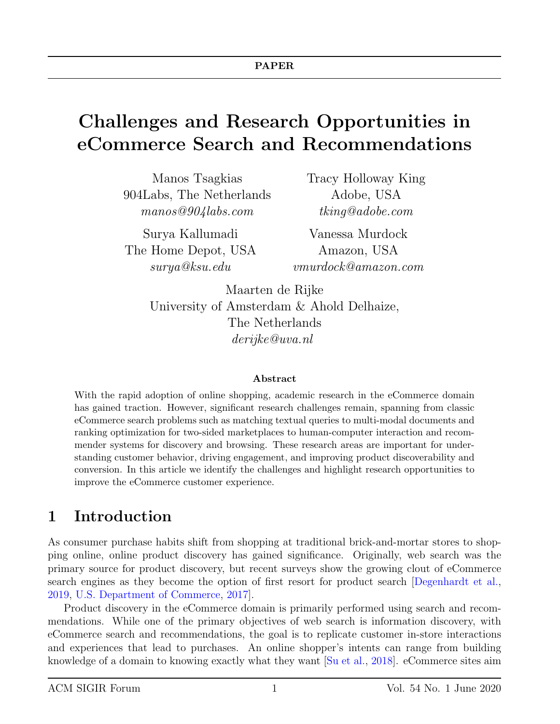# Challenges and Research Opportunities in eCommerce Search and Recommendations

Manos Tsagkias 904Labs, The Netherlands manos@904labs.com

Surya Kallumadi The Home Depot, USA surya@ksu.edu

Tracy Holloway King Adobe, USA tking@adobe.com

Vanessa Murdock Amazon, USA vmurdock@amazon.com

Maarten de Rijke University of Amsterdam & Ahold Delhaize, The Netherlands derijke@uva.nl

#### Abstract

With the rapid adoption of online shopping, academic research in the eCommerce domain has gained traction. However, significant research challenges remain, spanning from classic eCommerce search problems such as matching textual queries to multi-modal documents and ranking optimization for two-sided marketplaces to human-computer interaction and recommender systems for discovery and browsing. These research areas are important for understanding customer behavior, driving engagement, and improving product discoverability and conversion. In this article we identify the challenges and highlight research opportunities to improve the eCommerce customer experience.

## 1 Introduction

As consumer purchase habits shift from shopping at traditional brick-and-mortar stores to shopping online, online product discovery has gained significance. Originally, web search was the primary source for product discovery, but recent surveys show the growing clout of eCommerce search engines as they become the option of first resort for product search [\[Degenhardt et al.,](#page-18-0) [2019,](#page-18-0) [U.S. Department of Commerce,](#page-19-0) [2017\]](#page-19-0).

Product discovery in the eCommerce domain is primarily performed using search and recommendations. While one of the primary objectives of web search is information discovery, with eCommerce search and recommendations, the goal is to replicate customer in-store interactions and experiences that lead to purchases. An online shopper's intents can range from building knowledge of a domain to knowing exactly what they want [\[Su et al.,](#page-19-1) [2018\]](#page-19-1). eCommerce sites aim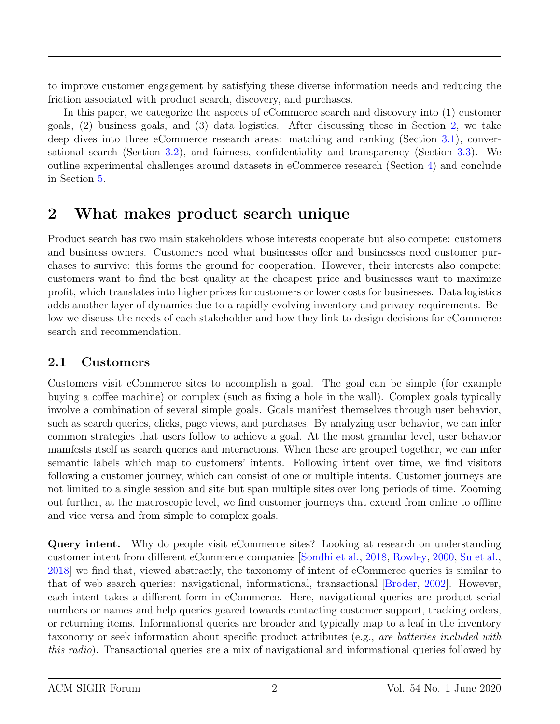to improve customer engagement by satisfying these diverse information needs and reducing the friction associated with product search, discovery, and purchases.

In this paper, we categorize the aspects of eCommerce search and discovery into (1) customer goals, (2) business goals, and (3) data logistics. After discussing these in Section [2,](#page-1-0) we take deep dives into three eCommerce research areas: matching and ranking (Section [3.1\)](#page-6-0), conversational search (Section [3.2\)](#page-11-0), and fairness, confidentiality and transparency (Section [3.3\)](#page-14-0). We outline experimental challenges around datasets in eCommerce research (Section [4\)](#page-15-0) and conclude in Section [5.](#page-18-1)

## <span id="page-1-0"></span>2 What makes product search unique

Product search has two main stakeholders whose interests cooperate but also compete: customers and business owners. Customers need what businesses offer and businesses need customer purchases to survive: this forms the ground for cooperation. However, their interests also compete: customers want to find the best quality at the cheapest price and businesses want to maximize profit, which translates into higher prices for customers or lower costs for businesses. Data logistics adds another layer of dynamics due to a rapidly evolving inventory and privacy requirements. Below we discuss the needs of each stakeholder and how they link to design decisions for eCommerce search and recommendation.

### <span id="page-1-1"></span>2.1 Customers

Customers visit eCommerce sites to accomplish a goal. The goal can be simple (for example buying a coffee machine) or complex (such as fixing a hole in the wall). Complex goals typically involve a combination of several simple goals. Goals manifest themselves through user behavior, such as search queries, clicks, page views, and purchases. By analyzing user behavior, we can infer common strategies that users follow to achieve a goal. At the most granular level, user behavior manifests itself as search queries and interactions. When these are grouped together, we can infer semantic labels which map to customers' intents. Following intent over time, we find visitors following a customer journey, which can consist of one or multiple intents. Customer journeys are not limited to a single session and site but span multiple sites over long periods of time. Zooming out further, at the macroscopic level, we find customer journeys that extend from online to offline and vice versa and from simple to complex goals.

Query intent. Why do people visit eCommerce sites? Looking at research on understanding customer intent from different eCommerce companies [\[Sondhi et al.,](#page-19-2) [2018,](#page-19-2) [Rowley,](#page-19-3) [2000,](#page-19-3) [Su et al.,](#page-19-1) [2018\]](#page-19-1) we find that, viewed abstractly, the taxonomy of intent of eCommerce queries is similar to that of web search queries: navigational, informational, transactional [\[Broder,](#page-19-4) [2002\]](#page-19-4). However, each intent takes a different form in eCommerce. Here, navigational queries are product serial numbers or names and help queries geared towards contacting customer support, tracking orders, or returning items. Informational queries are broader and typically map to a leaf in the inventory taxonomy or seek information about specific product attributes (e.g., are batteries included with this radio). Transactional queries are a mix of navigational and informational queries followed by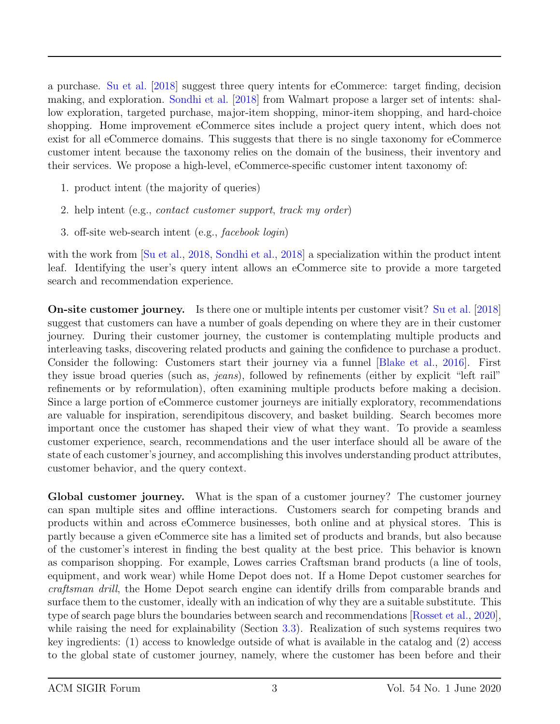a purchase. [Su et al.](#page-19-1) [\[2018\]](#page-19-1) suggest three query intents for eCommerce: target finding, decision making, and exploration. [Sondhi et al.](#page-19-2) [\[2018\]](#page-19-2) from Walmart propose a larger set of intents: shallow exploration, targeted purchase, major-item shopping, minor-item shopping, and hard-choice shopping. Home improvement eCommerce sites include a project query intent, which does not exist for all eCommerce domains. This suggests that there is no single taxonomy for eCommerce customer intent because the taxonomy relies on the domain of the business, their inventory and their services. We propose a high-level, eCommerce-specific customer intent taxonomy of:

- 1. product intent (the majority of queries)
- 2. help intent (e.g., contact customer support, track my order)
- 3. off-site web-search intent (e.g., facebook login)

with the work from  $\begin{bmatrix} Su \ et \ al., \ 2018, \ Sondhi \ et \ al., \ 2018 \end{bmatrix}$  $\begin{bmatrix} Su \ et \ al., \ 2018, \ Sondhi \ et \ al., \ 2018 \end{bmatrix}$  $\begin{bmatrix} Su \ et \ al., \ 2018, \ Sondhi \ et \ al., \ 2018 \end{bmatrix}$  a specialization within the product intent leaf. Identifying the user's query intent allows an eCommerce site to provide a more targeted search and recommendation experience.

On-site customer journey. Is there one or multiple intents per customer visit? [Su et al.](#page-19-1) [\[2018\]](#page-19-1) suggest that customers can have a number of goals depending on where they are in their customer journey. During their customer journey, the customer is contemplating multiple products and interleaving tasks, discovering related products and gaining the confidence to purchase a product. Consider the following: Customers start their journey via a funnel [\[Blake et al.,](#page-19-5) [2016\]](#page-19-5). First they issue broad queries (such as, jeans), followed by refinements (either by explicit "left rail" refinements or by reformulation), often examining multiple products before making a decision. Since a large portion of eCommerce customer journeys are initially exploratory, recommendations are valuable for inspiration, serendipitous discovery, and basket building. Search becomes more important once the customer has shaped their view of what they want. To provide a seamless customer experience, search, recommendations and the user interface should all be aware of the state of each customer's journey, and accomplishing this involves understanding product attributes, customer behavior, and the query context.

Global customer journey. What is the span of a customer journey? The customer journey can span multiple sites and offline interactions. Customers search for competing brands and products within and across eCommerce businesses, both online and at physical stores. This is partly because a given eCommerce site has a limited set of products and brands, but also because of the customer's interest in finding the best quality at the best price. This behavior is known as comparison shopping. For example, Lowes carries Craftsman brand products (a line of tools, equipment, and work wear) while Home Depot does not. If a Home Depot customer searches for craftsman drill, the Home Depot search engine can identify drills from comparable brands and surface them to the customer, ideally with an indication of why they are a suitable substitute. This type of search page blurs the boundaries between search and recommendations [\[Rosset et al.,](#page-19-6) [2020\]](#page-19-6), while raising the need for explainability (Section [3.3\)](#page-14-0). Realization of such systems requires two key ingredients: (1) access to knowledge outside of what is available in the catalog and (2) access to the global state of customer journey, namely, where the customer has been before and their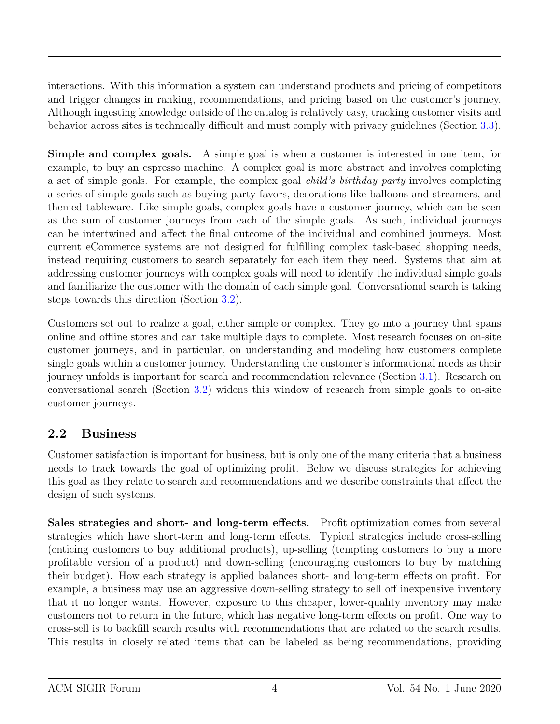interactions. With this information a system can understand products and pricing of competitors and trigger changes in ranking, recommendations, and pricing based on the customer's journey. Although ingesting knowledge outside of the catalog is relatively easy, tracking customer visits and behavior across sites is technically difficult and must comply with privacy guidelines (Section [3.3\)](#page-14-0).

Simple and complex goals. A simple goal is when a customer is interested in one item, for example, to buy an espresso machine. A complex goal is more abstract and involves completing a set of simple goals. For example, the complex goal child's birthday party involves completing a series of simple goals such as buying party favors, decorations like balloons and streamers, and themed tableware. Like simple goals, complex goals have a customer journey, which can be seen as the sum of customer journeys from each of the simple goals. As such, individual journeys can be intertwined and affect the final outcome of the individual and combined journeys. Most current eCommerce systems are not designed for fulfilling complex task-based shopping needs, instead requiring customers to search separately for each item they need. Systems that aim at addressing customer journeys with complex goals will need to identify the individual simple goals and familiarize the customer with the domain of each simple goal. Conversational search is taking steps towards this direction (Section [3.2\)](#page-11-0).

Customers set out to realize a goal, either simple or complex. They go into a journey that spans online and offline stores and can take multiple days to complete. Most research focuses on on-site customer journeys, and in particular, on understanding and modeling how customers complete single goals within a customer journey. Understanding the customer's informational needs as their journey unfolds is important for search and recommendation relevance (Section [3.1\)](#page-6-0). Research on conversational search (Section [3.2\)](#page-11-0) widens this window of research from simple goals to on-site customer journeys.

### 2.2 Business

Customer satisfaction is important for business, but is only one of the many criteria that a business needs to track towards the goal of optimizing profit. Below we discuss strategies for achieving this goal as they relate to search and recommendations and we describe constraints that affect the design of such systems.

Sales strategies and short- and long-term effects. Profit optimization comes from several strategies which have short-term and long-term effects. Typical strategies include cross-selling (enticing customers to buy additional products), up-selling (tempting customers to buy a more profitable version of a product) and down-selling (encouraging customers to buy by matching their budget). How each strategy is applied balances short- and long-term effects on profit. For example, a business may use an aggressive down-selling strategy to sell off inexpensive inventory that it no longer wants. However, exposure to this cheaper, lower-quality inventory may make customers not to return in the future, which has negative long-term effects on profit. One way to cross-sell is to backfill search results with recommendations that are related to the search results. This results in closely related items that can be labeled as being recommendations, providing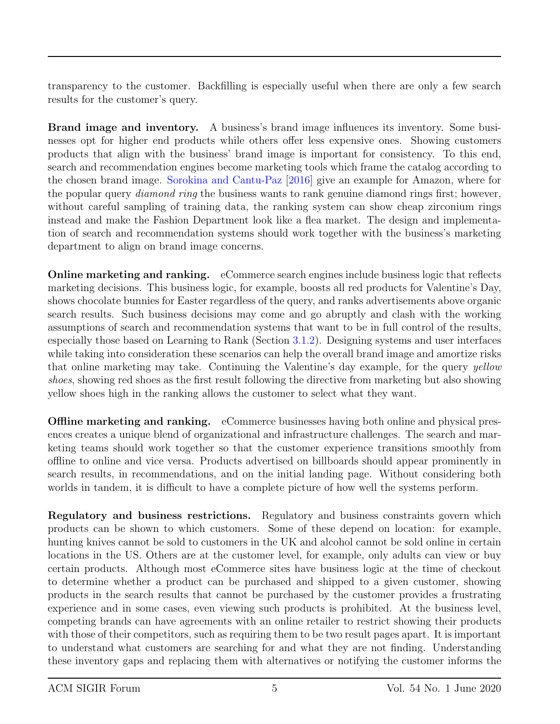transparency to the customer. Backfilling is especially useful when there are only a few search results for the customer's query.

Brand image and inventory. A business's brand image influences its inventory. Some businesses opt for higher end products while others offer less expensive ones. Showing customers products that align with the business' brand image is important for consistency. To this end, search and recommendation engines become marketing tools which frame the catalog according to the chosen brand image. [Sorokina and Cantu-Paz](#page-19-7) [\[2016\]](#page-19-7) give an example for Amazon, where for the popular query *diamond ring* the business wants to rank genuine diamond rings first; however, without careful sampling of training data, the ranking system can show cheap zirconium rings instead and make the Fashion Department look like a flea market. The design and implementation of search and recommendation systems should work together with the business's marketing department to align on brand image concerns.

Online marketing and ranking. eCommerce search engines include business logic that reflects marketing decisions. This business logic, for example, boosts all red products for Valentine's Day, shows chocolate bunnies for Easter regardless of the query, and ranks advertisements above organic search results. Such business decisions may come and go abruptly and clash with the working assumptions of search and recommendation systems that want to be in full control of the results, especially those based on Learning to Rank (Section [3.1.2\)](#page-8-0). Designing systems and user interfaces while taking into consideration these scenarios can help the overall brand image and amortize risks that online marketing may take. Continuing the Valentine's day example, for the query yellow shoes, showing red shoes as the first result following the directive from marketing but also showing yellow shoes high in the ranking allows the customer to select what they want.

**Offline marketing and ranking.** eCommerce businesses having both online and physical presences creates a unique blend of organizational and infrastructure challenges. The search and marketing teams should work together so that the customer experience transitions smoothly from offline to online and vice versa. Products advertised on billboards should appear prominently in search results, in recommendations, and on the initial landing page. Without considering both worlds in tandem, it is difficult to have a complete picture of how well the systems perform.

Regulatory and business restrictions. Regulatory and business constraints govern which products can be shown to which customers. Some of these depend on location: for example, hunting knives cannot be sold to customers in the UK and alcohol cannot be sold online in certain locations in the US. Others are at the customer level, for example, only adults can view or buy certain products. Although most eCommerce sites have business logic at the time of checkout to determine whether a product can be purchased and shipped to a given customer, showing products in the search results that cannot be purchased by the customer provides a frustrating experience and in some cases, even viewing such products is prohibited. At the business level, competing brands can have agreements with an online retailer to restrict showing their products with those of their competitors, such as requiring them to be two result pages apart. It is important to understand what customers are searching for and what they are not finding. Understanding these inventory gaps and replacing them with alternatives or notifying the customer informs the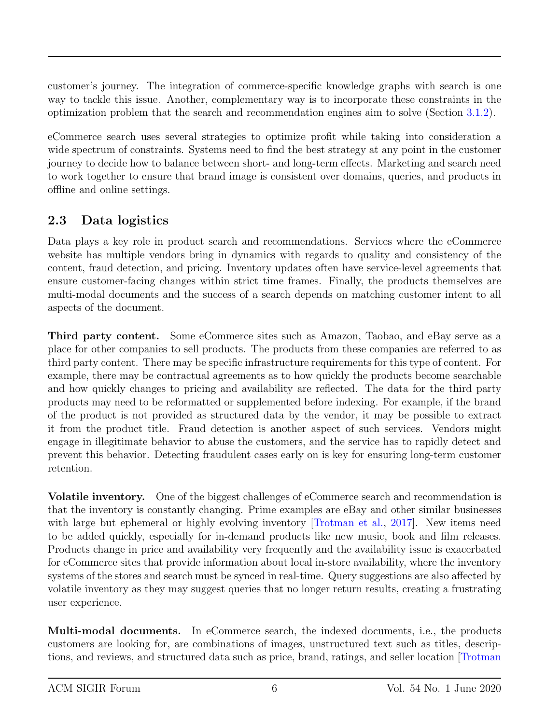customer's journey. The integration of commerce-specific knowledge graphs with search is one way to tackle this issue. Another, complementary way is to incorporate these constraints in the optimization problem that the search and recommendation engines aim to solve (Section [3.1.2\)](#page-8-0).

eCommerce search uses several strategies to optimize profit while taking into consideration a wide spectrum of constraints. Systems need to find the best strategy at any point in the customer journey to decide how to balance between short- and long-term effects. Marketing and search need to work together to ensure that brand image is consistent over domains, queries, and products in offline and online settings.

### 2.3 Data logistics

Data plays a key role in product search and recommendations. Services where the eCommerce website has multiple vendors bring in dynamics with regards to quality and consistency of the content, fraud detection, and pricing. Inventory updates often have service-level agreements that ensure customer-facing changes within strict time frames. Finally, the products themselves are multi-modal documents and the success of a search depends on matching customer intent to all aspects of the document.

Third party content. Some eCommerce sites such as Amazon, Taobao, and eBay serve as a place for other companies to sell products. The products from these companies are referred to as third party content. There may be specific infrastructure requirements for this type of content. For example, there may be contractual agreements as to how quickly the products become searchable and how quickly changes to pricing and availability are reflected. The data for the third party products may need to be reformatted or supplemented before indexing. For example, if the brand of the product is not provided as structured data by the vendor, it may be possible to extract it from the product title. Fraud detection is another aspect of such services. Vendors might engage in illegitimate behavior to abuse the customers, and the service has to rapidly detect and prevent this behavior. Detecting fraudulent cases early on is key for ensuring long-term customer retention.

Volatile inventory. One of the biggest challenges of eCommerce search and recommendation is that the inventory is constantly changing. Prime examples are eBay and other similar businesses with large but ephemeral or highly evolving inventory Trotman et al., 2017. New items need to be added quickly, especially for in-demand products like new music, book and film releases. Products change in price and availability very frequently and the availability issue is exacerbated for eCommerce sites that provide information about local in-store availability, where the inventory systems of the stores and search must be synced in real-time. Query suggestions are also affected by volatile inventory as they may suggest queries that no longer return results, creating a frustrating user experience.

Multi-modal documents. In eCommerce search, the indexed documents, i.e., the products customers are looking for, are combinations of images, unstructured text such as titles, descriptions, and reviews, and structured data such as price, brand, ratings, and seller location [\[Trotman](#page-19-8)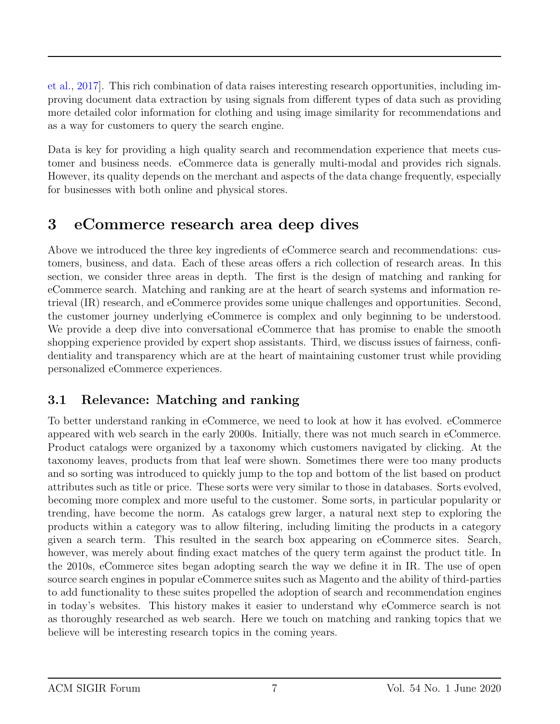[et al.,](#page-19-8) [2017\]](#page-19-8). This rich combination of data raises interesting research opportunities, including improving document data extraction by using signals from different types of data such as providing more detailed color information for clothing and using image similarity for recommendations and as a way for customers to query the search engine.

Data is key for providing a high quality search and recommendation experience that meets customer and business needs. eCommerce data is generally multi-modal and provides rich signals. However, its quality depends on the merchant and aspects of the data change frequently, especially for businesses with both online and physical stores.

## 3 eCommerce research area deep dives

Above we introduced the three key ingredients of eCommerce search and recommendations: customers, business, and data. Each of these areas offers a rich collection of research areas. In this section, we consider three areas in depth. The first is the design of matching and ranking for eCommerce search. Matching and ranking are at the heart of search systems and information retrieval (IR) research, and eCommerce provides some unique challenges and opportunities. Second, the customer journey underlying eCommerce is complex and only beginning to be understood. We provide a deep dive into conversational eCommerce that has promise to enable the smooth shopping experience provided by expert shop assistants. Third, we discuss issues of fairness, confidentiality and transparency which are at the heart of maintaining customer trust while providing personalized eCommerce experiences.

### <span id="page-6-0"></span>3.1 Relevance: Matching and ranking

To better understand ranking in eCommerce, we need to look at how it has evolved. eCommerce appeared with web search in the early 2000s. Initially, there was not much search in eCommerce. Product catalogs were organized by a taxonomy which customers navigated by clicking. At the taxonomy leaves, products from that leaf were shown. Sometimes there were too many products and so sorting was introduced to quickly jump to the top and bottom of the list based on product attributes such as title or price. These sorts were very similar to those in databases. Sorts evolved, becoming more complex and more useful to the customer. Some sorts, in particular popularity or trending, have become the norm. As catalogs grew larger, a natural next step to exploring the products within a category was to allow filtering, including limiting the products in a category given a search term. This resulted in the search box appearing on eCommerce sites. Search, however, was merely about finding exact matches of the query term against the product title. In the 2010s, eCommerce sites began adopting search the way we define it in IR. The use of open source search engines in popular eCommerce suites such as Magento and the ability of third-parties to add functionality to these suites propelled the adoption of search and recommendation engines in today's websites. This history makes it easier to understand why eCommerce search is not as thoroughly researched as web search. Here we touch on matching and ranking topics that we believe will be interesting research topics in the coming years.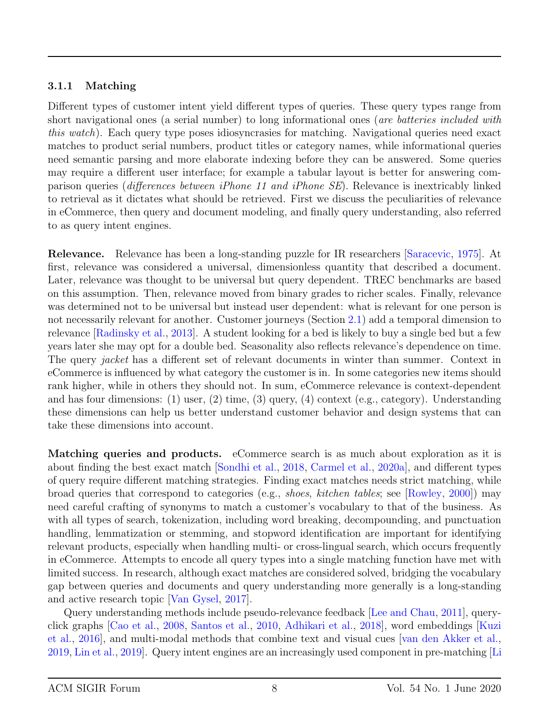#### <span id="page-7-0"></span>3.1.1 Matching

Different types of customer intent yield different types of queries. These query types range from short navigational ones (a serial number) to long informational ones (are batteries included with this watch). Each query type poses idiosyncrasies for matching. Navigational queries need exact matches to product serial numbers, product titles or category names, while informational queries need semantic parsing and more elaborate indexing before they can be answered. Some queries may require a different user interface; for example a tabular layout is better for answering comparison queries (differences between iPhone 11 and iPhone SE). Relevance is inextricably linked to retrieval as it dictates what should be retrieved. First we discuss the peculiarities of relevance in eCommerce, then query and document modeling, and finally query understanding, also referred to as query intent engines.

Relevance. Relevance has been a long-standing puzzle for IR researchers [\[Saracevic,](#page-19-9) [1975\]](#page-19-9). At first, relevance was considered a universal, dimensionless quantity that described a document. Later, relevance was thought to be universal but query dependent. TREC benchmarks are based on this assumption. Then, relevance moved from binary grades to richer scales. Finally, relevance was determined not to be universal but instead user dependent: what is relevant for one person is not necessarily relevant for another. Customer journeys (Section [2.1\)](#page-1-1) add a temporal dimension to relevance [\[Radinsky et al.,](#page-19-10) [2013\]](#page-19-10). A student looking for a bed is likely to buy a single bed but a few years later she may opt for a double bed. Seasonality also reflects relevance's dependence on time. The query *jacket* has a different set of relevant documents in winter than summer. Context in eCommerce is influenced by what category the customer is in. In some categories new items should rank higher, while in others they should not. In sum, eCommerce relevance is context-dependent and has four dimensions: (1) user, (2) time, (3) query, (4) context (e.g., category). Understanding these dimensions can help us better understand customer behavior and design systems that can take these dimensions into account.

Matching queries and products. eCommerce search is as much about exploration as it is about finding the best exact match [\[Sondhi et al.,](#page-19-2) [2018,](#page-19-2) [Carmel et al.,](#page-19-11) [2020a\]](#page-19-11), and different types of query require different matching strategies. Finding exact matches needs strict matching, while broad queries that correspond to categories (e.g., shoes, kitchen tables; see [\[Rowley,](#page-19-3) [2000\]](#page-19-3)) may need careful crafting of synonyms to match a customer's vocabulary to that of the business. As with all types of search, tokenization, including word breaking, decompounding, and punctuation handling, lemmatization or stemming, and stopword identification are important for identifying relevant products, especially when handling multi- or cross-lingual search, which occurs frequently in eCommerce. Attempts to encode all query types into a single matching function have met with limited success. In research, although exact matches are considered solved, bridging the vocabulary gap between queries and documents and query understanding more generally is a long-standing and active research topic [\[Van Gysel,](#page-19-12) [2017\]](#page-19-12).

Query understanding methods include pseudo-relevance feedback [\[Lee and Chau,](#page-19-13) [2011\]](#page-19-13), queryclick graphs [\[Cao et al.,](#page-19-14) [2008,](#page-19-14) [Santos et al.,](#page-19-15) [2010,](#page-19-15) [Adhikari et al.,](#page-19-16) [2018\]](#page-19-16), word embeddings [\[Kuzi](#page-19-17) [et al.,](#page-19-17) [2016\]](#page-19-17), and multi-modal methods that combine text and visual cues [\[van den Akker et al.,](#page-20-0) [2019,](#page-20-0) [Lin et al.,](#page-20-1) [2019\]](#page-20-1). Query intent engines are an increasingly used component in pre-matching [\[Li](#page-20-2)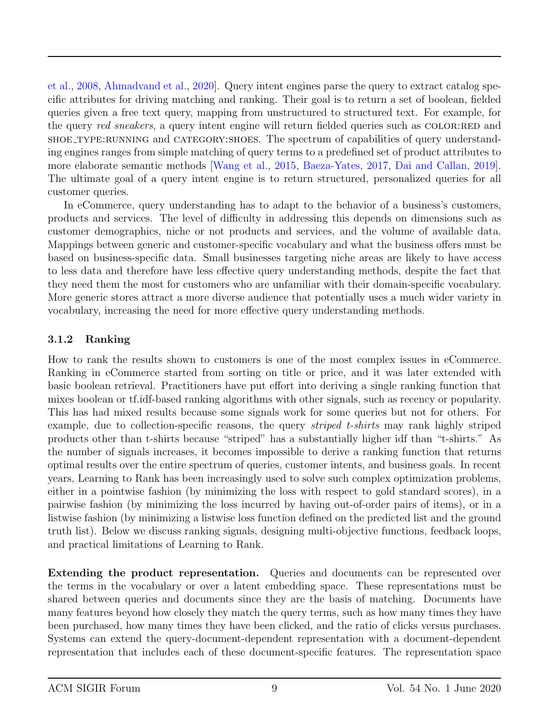[et al.,](#page-20-2) [2008,](#page-20-2) [Ahmadvand et al.,](#page-20-3) [2020\]](#page-20-3). Query intent engines parse the query to extract catalog specific attributes for driving matching and ranking. Their goal is to return a set of boolean, fielded queries given a free text query, mapping from unstructured to structured text. For example, for the query red sneakers, a query intent engine will return fielded queries such as COLOR:RED and shoe type: RUNNING and CATEGORY: SHOES. The spectrum of capabilities of query understanding engines ranges from simple matching of query terms to a predefined set of product attributes to more elaborate semantic methods [\[Wang et al.,](#page-20-4) [2015,](#page-20-4) [Baeza-Yates,](#page-20-5) [2017,](#page-20-5) [Dai and Callan,](#page-20-6) [2019\]](#page-20-6). The ultimate goal of a query intent engine is to return structured, personalized queries for all customer queries.

In eCommerce, query understanding has to adapt to the behavior of a business's customers, products and services. The level of difficulty in addressing this depends on dimensions such as customer demographics, niche or not products and services, and the volume of available data. Mappings between generic and customer-specific vocabulary and what the business offers must be based on business-specific data. Small businesses targeting niche areas are likely to have access to less data and therefore have less effective query understanding methods, despite the fact that they need them the most for customers who are unfamiliar with their domain-specific vocabulary. More generic stores attract a more diverse audience that potentially uses a much wider variety in vocabulary, increasing the need for more effective query understanding methods.

#### <span id="page-8-0"></span>3.1.2 Ranking

How to rank the results shown to customers is one of the most complex issues in eCommerce. Ranking in eCommerce started from sorting on title or price, and it was later extended with basic boolean retrieval. Practitioners have put effort into deriving a single ranking function that mixes boolean or tf.idf-based ranking algorithms with other signals, such as recency or popularity. This has had mixed results because some signals work for some queries but not for others. For example, due to collection-specific reasons, the query *striped t-shirts* may rank highly striped products other than t-shirts because "striped" has a substantially higher idf than "t-shirts." As the number of signals increases, it becomes impossible to derive a ranking function that returns optimal results over the entire spectrum of queries, customer intents, and business goals. In recent years, Learning to Rank has been increasingly used to solve such complex optimization problems, either in a pointwise fashion (by minimizing the loss with respect to gold standard scores), in a pairwise fashion (by minimizing the loss incurred by having out-of-order pairs of items), or in a listwise fashion (by minimizing a listwise loss function defined on the predicted list and the ground truth list). Below we discuss ranking signals, designing multi-objective functions, feedback loops, and practical limitations of Learning to Rank.

Extending the product representation. Queries and documents can be represented over the terms in the vocabulary or over a latent embedding space. These representations must be shared between queries and documents since they are the basis of matching. Documents have many features beyond how closely they match the query terms, such as how many times they have been purchased, how many times they have been clicked, and the ratio of clicks versus purchases. Systems can extend the query-document-dependent representation with a document-dependent representation that includes each of these document-specific features. The representation space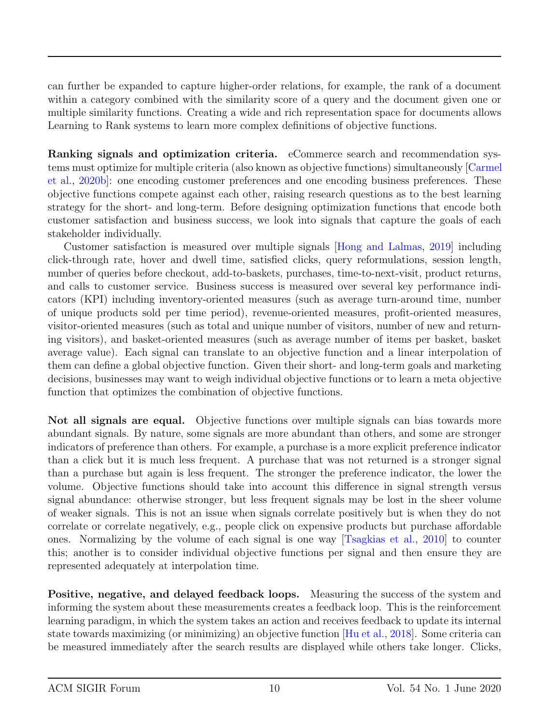can further be expanded to capture higher-order relations, for example, the rank of a document within a category combined with the similarity score of a query and the document given one or multiple similarity functions. Creating a wide and rich representation space for documents allows Learning to Rank systems to learn more complex definitions of objective functions.

Ranking signals and optimization criteria. eCommerce search and recommendation systems must optimize for multiple criteria (also known as objective functions) simultaneously [\[Carmel](#page-20-7) [et al.,](#page-20-7) [2020b\]](#page-20-7): one encoding customer preferences and one encoding business preferences. These objective functions compete against each other, raising research questions as to the best learning strategy for the short- and long-term. Before designing optimization functions that encode both customer satisfaction and business success, we look into signals that capture the goals of each stakeholder individually.

Customer satisfaction is measured over multiple signals [\[Hong and Lalmas,](#page-20-8) [2019\]](#page-20-8) including click-through rate, hover and dwell time, satisfied clicks, query reformulations, session length, number of queries before checkout, add-to-baskets, purchases, time-to-next-visit, product returns, and calls to customer service. Business success is measured over several key performance indicators (KPI) including inventory-oriented measures (such as average turn-around time, number of unique products sold per time period), revenue-oriented measures, profit-oriented measures, visitor-oriented measures (such as total and unique number of visitors, number of new and returning visitors), and basket-oriented measures (such as average number of items per basket, basket average value). Each signal can translate to an objective function and a linear interpolation of them can define a global objective function. Given their short- and long-term goals and marketing decisions, businesses may want to weigh individual objective functions or to learn a meta objective function that optimizes the combination of objective functions.

Not all signals are equal. Objective functions over multiple signals can bias towards more abundant signals. By nature, some signals are more abundant than others, and some are stronger indicators of preference than others. For example, a purchase is a more explicit preference indicator than a click but it is much less frequent. A purchase that was not returned is a stronger signal than a purchase but again is less frequent. The stronger the preference indicator, the lower the volume. Objective functions should take into account this difference in signal strength versus signal abundance: otherwise stronger, but less frequent signals may be lost in the sheer volume of weaker signals. This is not an issue when signals correlate positively but is when they do not correlate or correlate negatively, e.g., people click on expensive products but purchase affordable ones. Normalizing by the volume of each signal is one way [\[Tsagkias et al.,](#page-20-9) [2010\]](#page-20-9) to counter this; another is to consider individual objective functions per signal and then ensure they are represented adequately at interpolation time.

Positive, negative, and delayed feedback loops. Measuring the success of the system and informing the system about these measurements creates a feedback loop. This is the reinforcement learning paradigm, in which the system takes an action and receives feedback to update its internal state towards maximizing (or minimizing) an objective function [\[Hu et al.,](#page-20-10) [2018\]](#page-20-10). Some criteria can be measured immediately after the search results are displayed while others take longer. Clicks,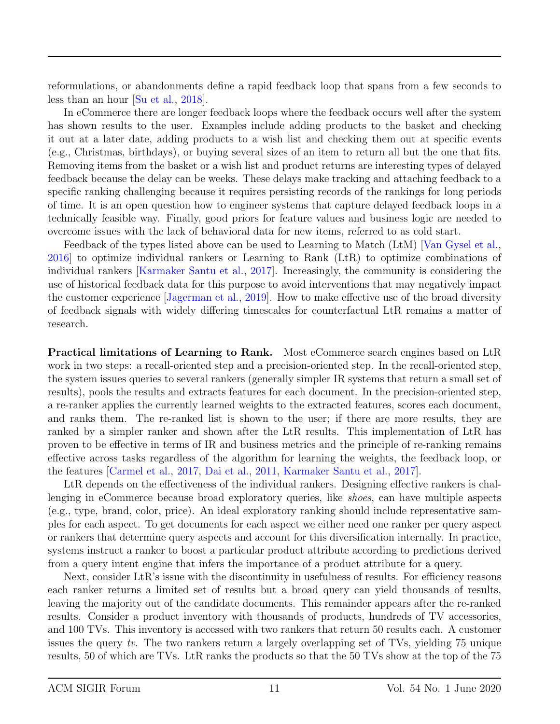reformulations, or abandonments define a rapid feedback loop that spans from a few seconds to less than an hour [\[Su et al.,](#page-19-1) [2018\]](#page-19-1).

In eCommerce there are longer feedback loops where the feedback occurs well after the system has shown results to the user. Examples include adding products to the basket and checking it out at a later date, adding products to a wish list and checking them out at specific events (e.g., Christmas, birthdays), or buying several sizes of an item to return all but the one that fits. Removing items from the basket or a wish list and product returns are interesting types of delayed feedback because the delay can be weeks. These delays make tracking and attaching feedback to a specific ranking challenging because it requires persisting records of the rankings for long periods of time. It is an open question how to engineer systems that capture delayed feedback loops in a technically feasible way. Finally, good priors for feature values and business logic are needed to overcome issues with the lack of behavioral data for new items, referred to as cold start.

Feedback of the types listed above can be used to Learning to Match (LtM) [\[Van Gysel et al.,](#page-20-11) [2016\]](#page-20-11) to optimize individual rankers or Learning to Rank (LtR) to optimize combinations of individual rankers [\[Karmaker Santu et al.,](#page-20-12) [2017\]](#page-20-12). Increasingly, the community is considering the use of historical feedback data for this purpose to avoid interventions that may negatively impact the customer experience [\[Jagerman et al.,](#page-20-13) [2019\]](#page-20-13). How to make effective use of the broad diversity of feedback signals with widely differing timescales for counterfactual LtR remains a matter of research.

Practical limitations of Learning to Rank. Most eCommerce search engines based on LtR work in two steps: a recall-oriented step and a precision-oriented step. In the recall-oriented step, the system issues queries to several rankers (generally simpler IR systems that return a small set of results), pools the results and extracts features for each document. In the precision-oriented step, a re-ranker applies the currently learned weights to the extracted features, scores each document, and ranks them. The re-ranked list is shown to the user; if there are more results, they are ranked by a simpler ranker and shown after the LtR results. This implementation of LtR has proven to be effective in terms of IR and business metrics and the principle of re-ranking remains effective across tasks regardless of the algorithm for learning the weights, the feedback loop, or the features [\[Carmel et al.,](#page-20-14) [2017,](#page-20-14) [Dai et al.,](#page-20-15) [2011,](#page-20-15) [Karmaker Santu et al.,](#page-20-12) [2017\]](#page-20-12).

LtR depends on the effectiveness of the individual rankers. Designing effective rankers is challenging in eCommerce because broad exploratory queries, like shoes, can have multiple aspects (e.g., type, brand, color, price). An ideal exploratory ranking should include representative samples for each aspect. To get documents for each aspect we either need one ranker per query aspect or rankers that determine query aspects and account for this diversification internally. In practice, systems instruct a ranker to boost a particular product attribute according to predictions derived from a query intent engine that infers the importance of a product attribute for a query.

Next, consider LtR's issue with the discontinuity in usefulness of results. For efficiency reasons each ranker returns a limited set of results but a broad query can yield thousands of results, leaving the majority out of the candidate documents. This remainder appears after the re-ranked results. Consider a product inventory with thousands of products, hundreds of TV accessories, and 100 TVs. This inventory is accessed with two rankers that return 50 results each. A customer issues the query tv. The two rankers return a largely overlapping set of TVs, yielding 75 unique results, 50 of which are TVs. LtR ranks the products so that the 50 TVs show at the top of the 75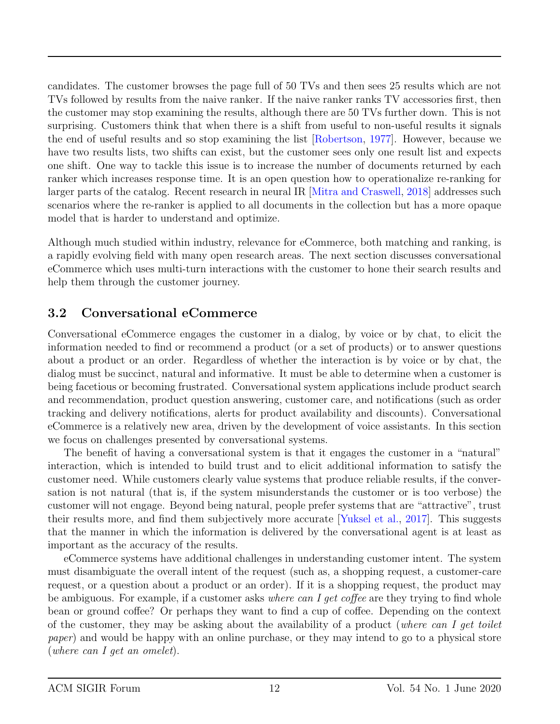candidates. The customer browses the page full of 50 TVs and then sees 25 results which are not TVs followed by results from the naive ranker. If the naive ranker ranks TV accessories first, then the customer may stop examining the results, although there are 50 TVs further down. This is not surprising. Customers think that when there is a shift from useful to non-useful results it signals the end of useful results and so stop examining the list [\[Robertson,](#page-20-16) [1977\]](#page-20-16). However, because we have two results lists, two shifts can exist, but the customer sees only one result list and expects one shift. One way to tackle this issue is to increase the number of documents returned by each ranker which increases response time. It is an open question how to operationalize re-ranking for larger parts of the catalog. Recent research in neural IR [\[Mitra and Craswell,](#page-20-17) [2018\]](#page-20-17) addresses such scenarios where the re-ranker is applied to all documents in the collection but has a more opaque model that is harder to understand and optimize.

Although much studied within industry, relevance for eCommerce, both matching and ranking, is a rapidly evolving field with many open research areas. The next section discusses conversational eCommerce which uses multi-turn interactions with the customer to hone their search results and help them through the customer journey.

### <span id="page-11-0"></span>3.2 Conversational eCommerce

Conversational eCommerce engages the customer in a dialog, by voice or by chat, to elicit the information needed to find or recommend a product (or a set of products) or to answer questions about a product or an order. Regardless of whether the interaction is by voice or by chat, the dialog must be succinct, natural and informative. It must be able to determine when a customer is being facetious or becoming frustrated. Conversational system applications include product search and recommendation, product question answering, customer care, and notifications (such as order tracking and delivery notifications, alerts for product availability and discounts). Conversational eCommerce is a relatively new area, driven by the development of voice assistants. In this section we focus on challenges presented by conversational systems.

The benefit of having a conversational system is that it engages the customer in a "natural" interaction, which is intended to build trust and to elicit additional information to satisfy the customer need. While customers clearly value systems that produce reliable results, if the conversation is not natural (that is, if the system misunderstands the customer or is too verbose) the customer will not engage. Beyond being natural, people prefer systems that are "attractive", trust their results more, and find them subjectively more accurate [\[Yuksel et al.,](#page-20-18) [2017\]](#page-20-18). This suggests that the manner in which the information is delivered by the conversational agent is at least as important as the accuracy of the results.

eCommerce systems have additional challenges in understanding customer intent. The system must disambiguate the overall intent of the request (such as, a shopping request, a customer-care request, or a question about a product or an order). If it is a shopping request, the product may be ambiguous. For example, if a customer asks where can I get coffee are they trying to find whole bean or ground coffee? Or perhaps they want to find a cup of coffee. Depending on the context of the customer, they may be asking about the availability of a product (where can I get toilet paper) and would be happy with an online purchase, or they may intend to go to a physical store (where can I get an omelet).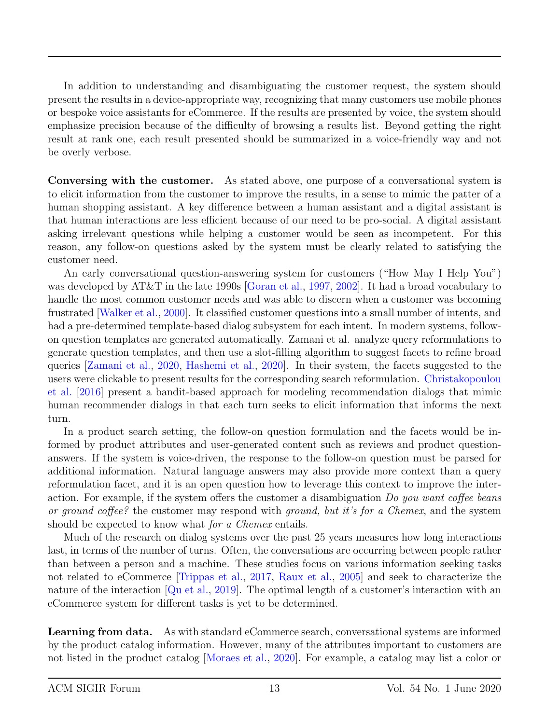In addition to understanding and disambiguating the customer request, the system should present the results in a device-appropriate way, recognizing that many customers use mobile phones or bespoke voice assistants for eCommerce. If the results are presented by voice, the system should emphasize precision because of the difficulty of browsing a results list. Beyond getting the right result at rank one, each result presented should be summarized in a voice-friendly way and not be overly verbose.

Conversing with the customer. As stated above, one purpose of a conversational system is to elicit information from the customer to improve the results, in a sense to mimic the patter of a human shopping assistant. A key difference between a human assistant and a digital assistant is that human interactions are less efficient because of our need to be pro-social. A digital assistant asking irrelevant questions while helping a customer would be seen as incompetent. For this reason, any follow-on questions asked by the system must be clearly related to satisfying the customer need.

An early conversational question-answering system for customers ("How May I Help You") was developed by AT&T in the late 1990s [\[Goran et al.,](#page-21-0) [1997,](#page-21-0) [2002\]](#page-21-1). It had a broad vocabulary to handle the most common customer needs and was able to discern when a customer was becoming frustrated [\[Walker et al.,](#page-21-2) [2000\]](#page-21-2). It classified customer questions into a small number of intents, and had a pre-determined template-based dialog subsystem for each intent. In modern systems, followon question templates are generated automatically. Zamani et al. analyze query reformulations to generate question templates, and then use a slot-filling algorithm to suggest facets to refine broad queries [\[Zamani et al.,](#page-21-3) [2020,](#page-21-3) [Hashemi et al.,](#page-21-4) [2020\]](#page-21-4). In their system, the facets suggested to the users were clickable to present results for the corresponding search reformulation. [Christakopoulou](#page-21-5) [et al.](#page-21-5) [\[2016\]](#page-21-5) present a bandit-based approach for modeling recommendation dialogs that mimic human recommender dialogs in that each turn seeks to elicit information that informs the next turn.

In a product search setting, the follow-on question formulation and the facets would be informed by product attributes and user-generated content such as reviews and product questionanswers. If the system is voice-driven, the response to the follow-on question must be parsed for additional information. Natural language answers may also provide more context than a query reformulation facet, and it is an open question how to leverage this context to improve the interaction. For example, if the system offers the customer a disambiguation Do you want coffee beans or ground coffee? the customer may respond with ground, but it's for a Chemex, and the system should be expected to know what *for a Chemex* entails.

Much of the research on dialog systems over the past 25 years measures how long interactions last, in terms of the number of turns. Often, the conversations are occurring between people rather than between a person and a machine. These studies focus on various information seeking tasks not related to eCommerce [\[Trippas et al.,](#page-21-6) [2017,](#page-21-6) [Raux et al.,](#page-21-7) [2005\]](#page-21-7) and seek to characterize the nature of the interaction [\[Qu et al.,](#page-21-8) [2019\]](#page-21-8). The optimal length of a customer's interaction with an eCommerce system for different tasks is yet to be determined.

Learning from data. As with standard eCommerce search, conversational systems are informed by the product catalog information. However, many of the attributes important to customers are not listed in the product catalog [\[Moraes et al.,](#page-21-9) [2020\]](#page-21-9). For example, a catalog may list a color or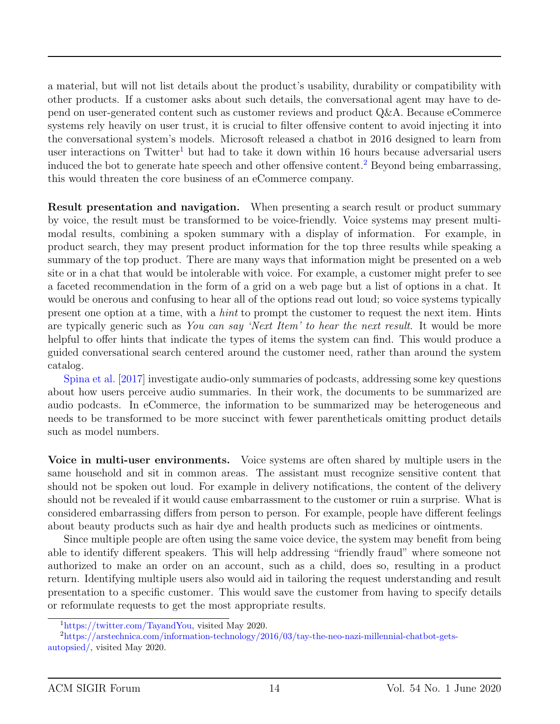a material, but will not list details about the product's usability, durability or compatibility with other products. If a customer asks about such details, the conversational agent may have to depend on user-generated content such as customer reviews and product Q&A. Because eCommerce systems rely heavily on user trust, it is crucial to filter offensive content to avoid injecting it into the conversational system's models. Microsoft released a chatbot in 2016 designed to learn from user interactions on Twitter<sup>[1](#page-13-0)</sup> but had to take it down within 16 hours because adversarial users induced the bot to generate hate speech and other offensive content.<sup>[2](#page-13-1)</sup> Beyond being embarrassing, this would threaten the core business of an eCommerce company.

Result presentation and navigation. When presenting a search result or product summary by voice, the result must be transformed to be voice-friendly. Voice systems may present multimodal results, combining a spoken summary with a display of information. For example, in product search, they may present product information for the top three results while speaking a summary of the top product. There are many ways that information might be presented on a web site or in a chat that would be intolerable with voice. For example, a customer might prefer to see a faceted recommendation in the form of a grid on a web page but a list of options in a chat. It would be onerous and confusing to hear all of the options read out loud; so voice systems typically present one option at a time, with a hint to prompt the customer to request the next item. Hints are typically generic such as You can say 'Next Item' to hear the next result. It would be more helpful to offer hints that indicate the types of items the system can find. This would produce a guided conversational search centered around the customer need, rather than around the system catalog.

[Spina et al.](#page-21-10) [\[2017\]](#page-21-10) investigate audio-only summaries of podcasts, addressing some key questions about how users perceive audio summaries. In their work, the documents to be summarized are audio podcasts. In eCommerce, the information to be summarized may be heterogeneous and needs to be transformed to be more succinct with fewer parentheticals omitting product details such as model numbers.

Voice in multi-user environments. Voice systems are often shared by multiple users in the same household and sit in common areas. The assistant must recognize sensitive content that should not be spoken out loud. For example in delivery notifications, the content of the delivery should not be revealed if it would cause embarrassment to the customer or ruin a surprise. What is considered embarrassing differs from person to person. For example, people have different feelings about beauty products such as hair dye and health products such as medicines or ointments.

Since multiple people are often using the same voice device, the system may benefit from being able to identify different speakers. This will help addressing "friendly fraud" where someone not authorized to make an order on an account, such as a child, does so, resulting in a product return. Identifying multiple users also would aid in tailoring the request understanding and result presentation to a specific customer. This would save the customer from having to specify details or reformulate requests to get the most appropriate results.

<span id="page-13-1"></span><span id="page-13-0"></span><sup>1</sup>[https://twitter.com/TayandYou,](https://twitter.com/TayandYou) visited May 2020.

<sup>2</sup>[https://arstechnica.com/information-technology/2016/03/tay-the-neo-nazi-millennial-chatbot-gets](https://arstechnica.com/information-technology/2016/03/tay-the-neo-nazi-millennial-chatbot-gets-autopsied/)[autopsied/,](https://arstechnica.com/information-technology/2016/03/tay-the-neo-nazi-millennial-chatbot-gets-autopsied/) visited May 2020.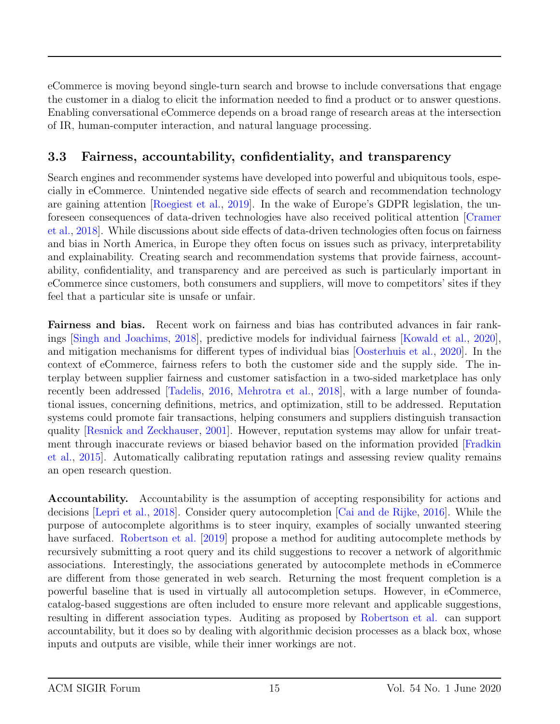eCommerce is moving beyond single-turn search and browse to include conversations that engage the customer in a dialog to elicit the information needed to find a product or to answer questions. Enabling conversational eCommerce depends on a broad range of research areas at the intersection of IR, human-computer interaction, and natural language processing.

### <span id="page-14-0"></span>3.3 Fairness, accountability, confidentiality, and transparency

Search engines and recommender systems have developed into powerful and ubiquitous tools, especially in eCommerce. Unintended negative side effects of search and recommendation technology are gaining attention [\[Roegiest et al.,](#page-21-11) [2019\]](#page-21-11). In the wake of Europe's GDPR legislation, the unforeseen consequences of data-driven technologies have also received political attention [\[Cramer](#page-21-12) [et al.,](#page-21-12) [2018\]](#page-21-12). While discussions about side effects of data-driven technologies often focus on fairness and bias in North America, in Europe they often focus on issues such as privacy, interpretability and explainability. Creating search and recommendation systems that provide fairness, accountability, confidentiality, and transparency and are perceived as such is particularly important in eCommerce since customers, both consumers and suppliers, will move to competitors' sites if they feel that a particular site is unsafe or unfair.

Fairness and bias. Recent work on fairness and bias has contributed advances in fair rankings [\[Singh and Joachims,](#page-21-13) [2018\]](#page-21-13), predictive models for individual fairness [\[Kowald et al.,](#page-21-14) [2020\]](#page-21-14), and mitigation mechanisms for different types of individual bias [\[Oosterhuis et al.,](#page-22-0) [2020\]](#page-22-0). In the context of eCommerce, fairness refers to both the customer side and the supply side. The interplay between supplier fairness and customer satisfaction in a two-sided marketplace has only recently been addressed [\[Tadelis,](#page-22-1) [2016,](#page-22-1) [Mehrotra et al.,](#page-22-2) [2018\]](#page-22-2), with a large number of foundational issues, concerning definitions, metrics, and optimization, still to be addressed. Reputation systems could promote fair transactions, helping consumers and suppliers distinguish transaction quality [\[Resnick and Zeckhauser,](#page-22-3) [2001\]](#page-22-3). However, reputation systems may allow for unfair treatment through inaccurate reviews or biased behavior based on the information provided [\[Fradkin](#page-22-4) [et al.,](#page-22-4) [2015\]](#page-22-4). Automatically calibrating reputation ratings and assessing review quality remains an open research question.

Accountability. Accountability is the assumption of accepting responsibility for actions and decisions [\[Lepri et al.,](#page-22-5) [2018\]](#page-22-5). Consider query autocompletion [\[Cai and de Rijke,](#page-22-6) [2016\]](#page-22-6). While the purpose of autocomplete algorithms is to steer inquiry, examples of socially unwanted steering have surfaced. [Robertson et al.](#page-22-7) [\[2019\]](#page-22-7) propose a method for auditing autocomplete methods by recursively submitting a root query and its child suggestions to recover a network of algorithmic associations. Interestingly, the associations generated by autocomplete methods in eCommerce are different from those generated in web search. Returning the most frequent completion is a powerful baseline that is used in virtually all autocompletion setups. However, in eCommerce, catalog-based suggestions are often included to ensure more relevant and applicable suggestions, resulting in different association types. Auditing as proposed by [Robertson et al.](#page-22-7) can support accountability, but it does so by dealing with algorithmic decision processes as a black box, whose inputs and outputs are visible, while their inner workings are not.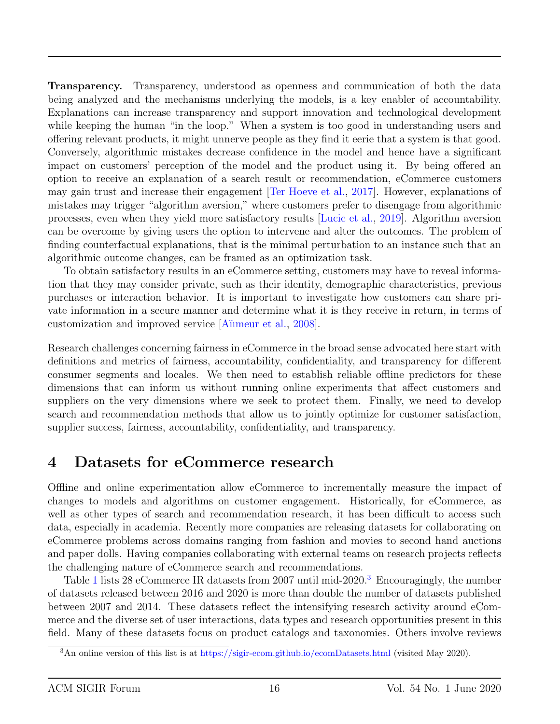Transparency. Transparency, understood as openness and communication of both the data being analyzed and the mechanisms underlying the models, is a key enabler of accountability. Explanations can increase transparency and support innovation and technological development while keeping the human "in the loop." When a system is too good in understanding users and offering relevant products, it might unnerve people as they find it eerie that a system is that good. Conversely, algorithmic mistakes decrease confidence in the model and hence have a significant impact on customers' perception of the model and the product using it. By being offered an option to receive an explanation of a search result or recommendation, eCommerce customers may gain trust and increase their engagement [\[Ter Hoeve et al.,](#page-22-8) [2017\]](#page-22-8). However, explanations of mistakes may trigger "algorithm aversion," where customers prefer to disengage from algorithmic processes, even when they yield more satisfactory results [\[Lucic et al.,](#page-22-9) [2019\]](#page-22-9). Algorithm aversion can be overcome by giving users the option to intervene and alter the outcomes. The problem of finding counterfactual explanations, that is the minimal perturbation to an instance such that an algorithmic outcome changes, can be framed as an optimization task.

To obtain satisfactory results in an eCommerce setting, customers may have to reveal information that they may consider private, such as their identity, demographic characteristics, previous purchases or interaction behavior. It is important to investigate how customers can share private information in a secure manner and determine what it is they receive in return, in terms of customization and improved service [\[A¨ıımeur et al.,](#page-22-10) [2008\]](#page-22-10).

Research challenges concerning fairness in eCommerce in the broad sense advocated here start with definitions and metrics of fairness, accountability, confidentiality, and transparency for different consumer segments and locales. We then need to establish reliable offline predictors for these dimensions that can inform us without running online experiments that affect customers and suppliers on the very dimensions where we seek to protect them. Finally, we need to develop search and recommendation methods that allow us to jointly optimize for customer satisfaction, supplier success, fairness, accountability, confidentiality, and transparency.

## <span id="page-15-0"></span>4 Datasets for eCommerce research

Offline and online experimentation allow eCommerce to incrementally measure the impact of changes to models and algorithms on customer engagement. Historically, for eCommerce, as well as other types of search and recommendation research, it has been difficult to access such data, especially in academia. Recently more companies are releasing datasets for collaborating on eCommerce problems across domains ranging from fashion and movies to second hand auctions and paper dolls. Having companies collaborating with external teams on research projects reflects the challenging nature of eCommerce search and recommendations.

Table [1](#page-17-0) lists 28 eCommerce IR datasets from 2007 until mid-2020.<sup>[3](#page-15-1)</sup> Encouragingly, the number of datasets released between 2016 and 2020 is more than double the number of datasets published between 2007 and 2014. These datasets reflect the intensifying research activity around eCommerce and the diverse set of user interactions, data types and research opportunities present in this field. Many of these datasets focus on product catalogs and taxonomies. Others involve reviews

<span id="page-15-1"></span><sup>3</sup>An online version of this list is at <https://sigir-ecom.github.io/ecomDatasets.html> (visited May 2020).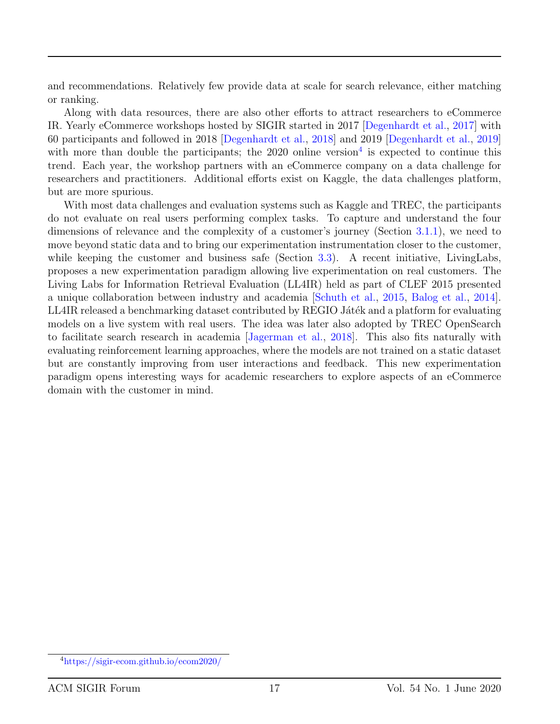and recommendations. Relatively few provide data at scale for search relevance, either matching or ranking.

Along with data resources, there are also other efforts to attract researchers to eCommerce IR. Yearly eCommerce workshops hosted by SIGIR started in 2017 [\[Degenhardt et al.,](#page-22-11) [2017\]](#page-22-11) with 60 participants and followed in 2018 [\[Degenhardt et al.,](#page-22-12) [2018\]](#page-22-12) and 2019 [\[Degenhardt et al.,](#page-18-0) [2019\]](#page-18-0) with more than double the participants; the  $2020$  online version<sup>[4](#page-16-0)</sup> is expected to continue this trend. Each year, the workshop partners with an eCommerce company on a data challenge for researchers and practitioners. Additional efforts exist on Kaggle, the data challenges platform, but are more spurious.

With most data challenges and evaluation systems such as Kaggle and TREC, the participants do not evaluate on real users performing complex tasks. To capture and understand the four dimensions of relevance and the complexity of a customer's journey (Section [3.1.1\)](#page-7-0), we need to move beyond static data and to bring our experimentation instrumentation closer to the customer, while keeping the customer and business safe (Section [3.3\)](#page-14-0). A recent initiative, LivingLabs, proposes a new experimentation paradigm allowing live experimentation on real customers. The Living Labs for Information Retrieval Evaluation (LL4IR) held as part of CLEF 2015 presented a unique collaboration between industry and academia [\[Schuth et al.,](#page-22-13) [2015,](#page-22-13) [Balog et al.,](#page-22-14) [2014\]](#page-22-14). LL4IR released a benchmarking dataset contributed by REGIO Játék and a platform for evaluating models on a live system with real users. The idea was later also adopted by TREC OpenSearch to facilitate search research in academia [\[Jagerman et al.,](#page-22-15) [2018\]](#page-22-15). This also fits naturally with evaluating reinforcement learning approaches, where the models are not trained on a static dataset but are constantly improving from user interactions and feedback. This new experimentation paradigm opens interesting ways for academic researchers to explore aspects of an eCommerce domain with the customer in mind.

<span id="page-16-0"></span><sup>4</sup><https://sigir-ecom.github.io/ecom2020/>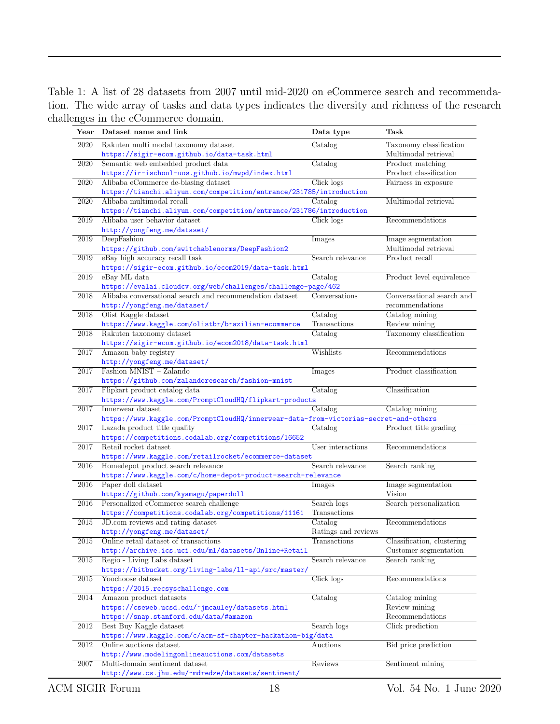<span id="page-17-0"></span>Table 1: A list of 28 datasets from 2007 until mid-2020 on eCommerce search and recommendation. The wide array of tasks and data types indicates the diversity and richness of the research challenges in the eCommerce domain.

| Year | Dataset name and link                                                                  | Data type           | Task                                            |
|------|----------------------------------------------------------------------------------------|---------------------|-------------------------------------------------|
| 2020 | Rakuten multi modal taxonomy dataset<br>https://sigir-ecom.github.io/data-task.html    | Catalog             | Taxonomy classification<br>Multimodal retrieval |
| 2020 | Semantic web embedded product data<br>https://ir-ischool-uos.github.io/mwpd/index.html | Catalog             | Product matching<br>Product classification      |
| 2020 | Alibaba eCommerce de-biasing dataset                                                   | Click logs          | Fairness in exposure                            |
|      | https://tianchi.aliyun.com/competition/entrance/231785/introduction                    |                     |                                                 |
| 2020 | Alibaba multimodal recall                                                              | Catalog             | Multimodal retrieval                            |
|      | https://tianchi.aliyun.com/competition/entrance/231786/introduction                    |                     |                                                 |
| 2019 | Alibaba user behavior dataset                                                          | Click logs          | Recommendations                                 |
|      | http://yongfeng.me/dataset/                                                            |                     |                                                 |
| 2019 | DeepFashion                                                                            | Images              | Image segmentation                              |
|      | https://github.com/switchablenorms/DeepFashion2                                        |                     | Multimodal retrieval                            |
| 2019 | eBay high accuracy recall task                                                         | Search relevance    | Product recall                                  |
|      | https://sigir-ecom.github.io/ecom2019/data-task.html                                   |                     |                                                 |
| 2019 | eBay ML data                                                                           | Catalog             | Product level equivalence                       |
|      | https://evalai.cloudcv.org/web/challenges/challenge-page/462                           |                     |                                                 |
| 2018 | Alibaba conversational search and recommendation dataset                               | Conversations       | Conversational search and                       |
|      | http://yongfeng.me/dataset/                                                            |                     | recommendations                                 |
| 2018 | Olist Kaggle dataset                                                                   | Catalog             | Catalog mining                                  |
|      | https://www.kaggle.com/olistbr/brazilian-ecommerce                                     | Transactions        | Review mining                                   |
| 2018 | Rakuten taxonomy dataset                                                               | Catalog             | Taxonomy classification                         |
|      | https://sigir-ecom.github.io/ecom2018/data-task.html                                   |                     |                                                 |
| 2017 | Amazon baby registry                                                                   | Wishlists           | Recommendations                                 |
|      | http://yongfeng.me/dataset/<br>Fashion MNIST - Zalando                                 |                     |                                                 |
| 2017 |                                                                                        | Images              | Product classification                          |
| 2017 | https://github.com/zalandoresearch/fashion-mnist<br>Flipkart product catalog data      | Catalog             | Classification                                  |
|      | https://www.kaggle.com/PromptCloudHQ/flipkart-products                                 |                     |                                                 |
| 2017 | Innerwear dataset                                                                      | Catalog             | Catalog mining                                  |
|      | https://www.kaggle.com/PromptCloudHQ/innerwear-data-from-victorias-secret-and-others   |                     |                                                 |
| 2017 | Lazada product title quality                                                           | Catalog             | Product title grading                           |
|      | https://competitions.codalab.org/competitions/16652                                    |                     |                                                 |
| 2017 | Retail rocket dataset                                                                  | User interactions   | Recommendations                                 |
|      | https://www.kaggle.com/retailrocket/ecommerce-dataset                                  |                     |                                                 |
| 2016 | Homedepot product search relevance                                                     | Search relevance    | Search ranking                                  |
|      | https://www.kaggle.com/c/home-depot-product-search-relevance                           |                     |                                                 |
| 2016 | Paper doll dataset                                                                     | Images              | Image segmentation                              |
|      | $\verb+https://github.com/kyamagu/paperdol1+$                                          |                     | Vision                                          |
| 2016 | Personalized eCommerce search challenge                                                | Search logs         | Search personalization                          |
|      | https://competitions.codalab.org/competitions/11161                                    | Transactions        |                                                 |
| 2015 | JD.com reviews and rating dataset                                                      | Catalog             | Recommendations                                 |
|      | http://yongfeng.me/dataset/                                                            | Ratings and reviews |                                                 |
| 2015 | Online retail dataset of transactions                                                  | Transactions        | Classification, clustering                      |
|      | http://archive.ics.uci.edu/ml/datasets/0nline+Retail                                   |                     | Customer segmentation                           |
| 2015 | Regio - Living Labs dataset                                                            | Search relevance    | Search ranking                                  |
|      | https://bitbucket.org/living-labs/ll-api/src/master/                                   |                     |                                                 |
| 2015 | Yoochoose dataset                                                                      | Click logs          | Recommendations                                 |
| 2014 | https://2015.recsyschallenge.com<br>Amazon product datasets                            | Catalog             |                                                 |
|      | https://cseweb.ucsd.edu/~jmcauley/datasets.html                                        |                     | Catalog mining<br>Review mining                 |
|      | https://snap.stanford.edu/data/#amazon                                                 |                     | Recommendations                                 |
| 2012 | Best Buy Kaggle dataset                                                                | Search logs         | Click prediction                                |
|      | https://www.kaggle.com/c/acm-sf-chapter-hackathon-big/data                             |                     |                                                 |
| 2012 | Online auctions dataset                                                                | Auctions            | Bid price prediction                            |
|      | http://www.modelingonlineauctions.com/datasets                                         |                     |                                                 |
| 2007 | Multi-domain sentiment dataset                                                         | Reviews             | Sentiment mining                                |
|      | http://www.cs.jhu.edu/~mdredze/datasets/sentiment/                                     |                     |                                                 |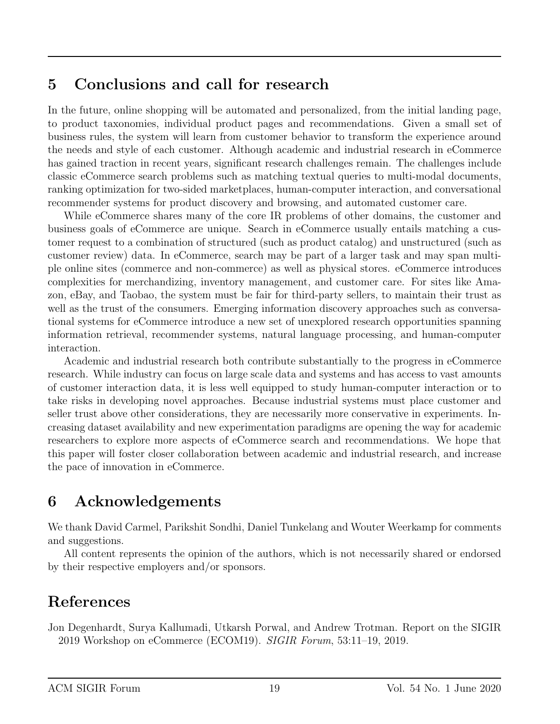## <span id="page-18-1"></span>5 Conclusions and call for research

In the future, online shopping will be automated and personalized, from the initial landing page, to product taxonomies, individual product pages and recommendations. Given a small set of business rules, the system will learn from customer behavior to transform the experience around the needs and style of each customer. Although academic and industrial research in eCommerce has gained traction in recent years, significant research challenges remain. The challenges include classic eCommerce search problems such as matching textual queries to multi-modal documents, ranking optimization for two-sided marketplaces, human-computer interaction, and conversational recommender systems for product discovery and browsing, and automated customer care.

While eCommerce shares many of the core IR problems of other domains, the customer and business goals of eCommerce are unique. Search in eCommerce usually entails matching a customer request to a combination of structured (such as product catalog) and unstructured (such as customer review) data. In eCommerce, search may be part of a larger task and may span multiple online sites (commerce and non-commerce) as well as physical stores. eCommerce introduces complexities for merchandizing, inventory management, and customer care. For sites like Amazon, eBay, and Taobao, the system must be fair for third-party sellers, to maintain their trust as well as the trust of the consumers. Emerging information discovery approaches such as conversational systems for eCommerce introduce a new set of unexplored research opportunities spanning information retrieval, recommender systems, natural language processing, and human-computer interaction.

Academic and industrial research both contribute substantially to the progress in eCommerce research. While industry can focus on large scale data and systems and has access to vast amounts of customer interaction data, it is less well equipped to study human-computer interaction or to take risks in developing novel approaches. Because industrial systems must place customer and seller trust above other considerations, they are necessarily more conservative in experiments. Increasing dataset availability and new experimentation paradigms are opening the way for academic researchers to explore more aspects of eCommerce search and recommendations. We hope that this paper will foster closer collaboration between academic and industrial research, and increase the pace of innovation in eCommerce.

## 6 Acknowledgements

We thank David Carmel, Parikshit Sondhi, Daniel Tunkelang and Wouter Weerkamp for comments and suggestions.

All content represents the opinion of the authors, which is not necessarily shared or endorsed by their respective employers and/or sponsors.

## References

<span id="page-18-0"></span>Jon Degenhardt, Surya Kallumadi, Utkarsh Porwal, and Andrew Trotman. Report on the SIGIR 2019 Workshop on eCommerce (ECOM19). SIGIR Forum, 53:11–19, 2019.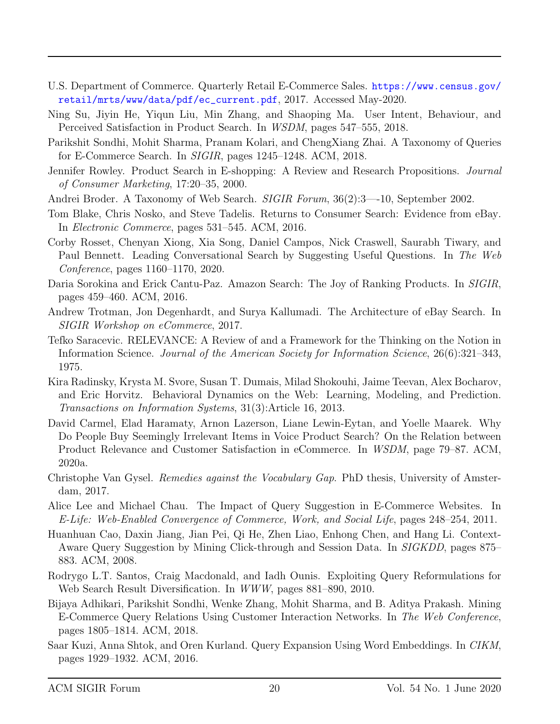- <span id="page-19-0"></span>U.S. Department of Commerce. Quarterly Retail E-Commerce Sales. [https://www.census.gov/](https://www.census.gov/retail/mrts/www/data/pdf/ec_current.pdf) [retail/mrts/www/data/pdf/ec\\_current.pdf](https://www.census.gov/retail/mrts/www/data/pdf/ec_current.pdf), 2017. Accessed May-2020.
- <span id="page-19-1"></span>Ning Su, Jiyin He, Yiqun Liu, Min Zhang, and Shaoping Ma. User Intent, Behaviour, and Perceived Satisfaction in Product Search. In WSDM, pages 547–555, 2018.
- <span id="page-19-2"></span>Parikshit Sondhi, Mohit Sharma, Pranam Kolari, and ChengXiang Zhai. A Taxonomy of Queries for E-Commerce Search. In SIGIR, pages 1245–1248. ACM, 2018.
- <span id="page-19-3"></span>Jennifer Rowley. Product Search in E-shopping: A Review and Research Propositions. Journal of Consumer Marketing, 17:20–35, 2000.
- <span id="page-19-4"></span>Andrei Broder. A Taxonomy of Web Search. *SIGIR Forum*, 36(2):3—10, September 2002.
- <span id="page-19-5"></span>Tom Blake, Chris Nosko, and Steve Tadelis. Returns to Consumer Search: Evidence from eBay. In Electronic Commerce, pages 531–545. ACM, 2016.
- <span id="page-19-6"></span>Corby Rosset, Chenyan Xiong, Xia Song, Daniel Campos, Nick Craswell, Saurabh Tiwary, and Paul Bennett. Leading Conversational Search by Suggesting Useful Questions. In The Web Conference, pages 1160–1170, 2020.
- <span id="page-19-7"></span>Daria Sorokina and Erick Cantu-Paz. Amazon Search: The Joy of Ranking Products. In SIGIR, pages 459–460. ACM, 2016.
- <span id="page-19-8"></span>Andrew Trotman, Jon Degenhardt, and Surya Kallumadi. The Architecture of eBay Search. In SIGIR Workshop on eCommerce, 2017.
- <span id="page-19-9"></span>Tefko Saracevic. RELEVANCE: A Review of and a Framework for the Thinking on the Notion in Information Science. Journal of the American Society for Information Science, 26(6):321–343, 1975.
- <span id="page-19-10"></span>Kira Radinsky, Krysta M. Svore, Susan T. Dumais, Milad Shokouhi, Jaime Teevan, Alex Bocharov, and Eric Horvitz. Behavioral Dynamics on the Web: Learning, Modeling, and Prediction. Transactions on Information Systems, 31(3):Article 16, 2013.
- <span id="page-19-11"></span>David Carmel, Elad Haramaty, Arnon Lazerson, Liane Lewin-Eytan, and Yoelle Maarek. Why Do People Buy Seemingly Irrelevant Items in Voice Product Search? On the Relation between Product Relevance and Customer Satisfaction in eCommerce. In WSDM, page 79–87. ACM, 2020a.
- <span id="page-19-12"></span>Christophe Van Gysel. Remedies against the Vocabulary Gap. PhD thesis, University of Amsterdam, 2017.
- <span id="page-19-13"></span>Alice Lee and Michael Chau. The Impact of Query Suggestion in E-Commerce Websites. In E-Life: Web-Enabled Convergence of Commerce, Work, and Social Life, pages 248–254, 2011.
- <span id="page-19-14"></span>Huanhuan Cao, Daxin Jiang, Jian Pei, Qi He, Zhen Liao, Enhong Chen, and Hang Li. Context-Aware Query Suggestion by Mining Click-through and Session Data. In SIGKDD, pages 875– 883. ACM, 2008.
- <span id="page-19-15"></span>Rodrygo L.T. Santos, Craig Macdonald, and Iadh Ounis. Exploiting Query Reformulations for Web Search Result Diversification. In WWW, pages 881–890, 2010.
- <span id="page-19-16"></span>Bijaya Adhikari, Parikshit Sondhi, Wenke Zhang, Mohit Sharma, and B. Aditya Prakash. Mining E-Commerce Query Relations Using Customer Interaction Networks. In The Web Conference, pages 1805–1814. ACM, 2018.
- <span id="page-19-17"></span>Saar Kuzi, Anna Shtok, and Oren Kurland. Query Expansion Using Word Embeddings. In CIKM, pages 1929–1932. ACM, 2016.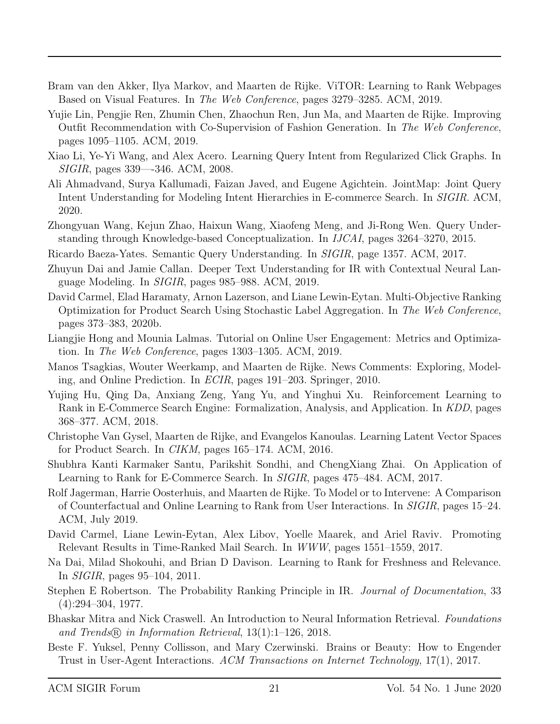- <span id="page-20-0"></span>Bram van den Akker, Ilya Markov, and Maarten de Rijke. ViTOR: Learning to Rank Webpages Based on Visual Features. In The Web Conference, pages 3279–3285. ACM, 2019.
- <span id="page-20-1"></span>Yujie Lin, Pengjie Ren, Zhumin Chen, Zhaochun Ren, Jun Ma, and Maarten de Rijke. Improving Outfit Recommendation with Co-Supervision of Fashion Generation. In The Web Conference, pages 1095–1105. ACM, 2019.
- <span id="page-20-2"></span>Xiao Li, Ye-Yi Wang, and Alex Acero. Learning Query Intent from Regularized Click Graphs. In SIGIR, pages 339—-346. ACM, 2008.
- <span id="page-20-3"></span>Ali Ahmadvand, Surya Kallumadi, Faizan Javed, and Eugene Agichtein. JointMap: Joint Query Intent Understanding for Modeling Intent Hierarchies in E-commerce Search. In SIGIR. ACM, 2020.
- <span id="page-20-4"></span>Zhongyuan Wang, Kejun Zhao, Haixun Wang, Xiaofeng Meng, and Ji-Rong Wen. Query Understanding through Knowledge-based Conceptualization. In IJCAI, pages 3264–3270, 2015.
- <span id="page-20-5"></span>Ricardo Baeza-Yates. Semantic Query Understanding. In SIGIR, page 1357. ACM, 2017.
- <span id="page-20-6"></span>Zhuyun Dai and Jamie Callan. Deeper Text Understanding for IR with Contextual Neural Language Modeling. In SIGIR, pages 985–988. ACM, 2019.
- <span id="page-20-7"></span>David Carmel, Elad Haramaty, Arnon Lazerson, and Liane Lewin-Eytan. Multi-Objective Ranking Optimization for Product Search Using Stochastic Label Aggregation. In The Web Conference, pages 373–383, 2020b.
- <span id="page-20-8"></span>Liangjie Hong and Mounia Lalmas. Tutorial on Online User Engagement: Metrics and Optimization. In The Web Conference, pages 1303–1305. ACM, 2019.
- <span id="page-20-9"></span>Manos Tsagkias, Wouter Weerkamp, and Maarten de Rijke. News Comments: Exploring, Modeling, and Online Prediction. In ECIR, pages 191–203. Springer, 2010.
- <span id="page-20-10"></span>Yujing Hu, Qing Da, Anxiang Zeng, Yang Yu, and Yinghui Xu. Reinforcement Learning to Rank in E-Commerce Search Engine: Formalization, Analysis, and Application. In KDD, pages 368–377. ACM, 2018.
- <span id="page-20-11"></span>Christophe Van Gysel, Maarten de Rijke, and Evangelos Kanoulas. Learning Latent Vector Spaces for Product Search. In CIKM, pages 165–174. ACM, 2016.
- <span id="page-20-12"></span>Shubhra Kanti Karmaker Santu, Parikshit Sondhi, and ChengXiang Zhai. On Application of Learning to Rank for E-Commerce Search. In SIGIR, pages 475–484. ACM, 2017.
- <span id="page-20-13"></span>Rolf Jagerman, Harrie Oosterhuis, and Maarten de Rijke. To Model or to Intervene: A Comparison of Counterfactual and Online Learning to Rank from User Interactions. In SIGIR, pages 15–24. ACM, July 2019.
- <span id="page-20-14"></span>David Carmel, Liane Lewin-Eytan, Alex Libov, Yoelle Maarek, and Ariel Raviv. Promoting Relevant Results in Time-Ranked Mail Search. In WWW, pages 1551–1559, 2017.
- <span id="page-20-15"></span>Na Dai, Milad Shokouhi, and Brian D Davison. Learning to Rank for Freshness and Relevance. In SIGIR, pages 95–104, 2011.
- <span id="page-20-16"></span>Stephen E Robertson. The Probability Ranking Principle in IR. Journal of Documentation, 33 (4):294–304, 1977.
- <span id="page-20-17"></span>Bhaskar Mitra and Nick Craswell. An Introduction to Neural Information Retrieval. Foundations and Trends <sup>R</sup> in Information Retrieval, 13(1):1–126, 2018.
- <span id="page-20-18"></span>Beste F. Yuksel, Penny Collisson, and Mary Czerwinski. Brains or Beauty: How to Engender Trust in User-Agent Interactions. ACM Transactions on Internet Technology, 17(1), 2017.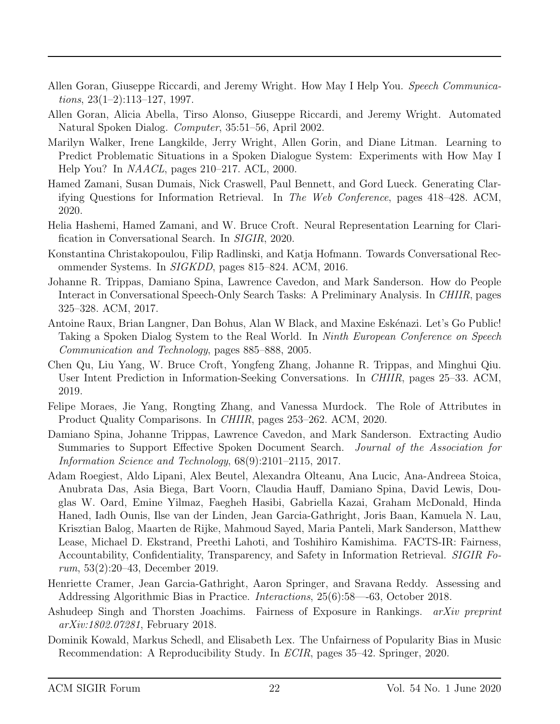- <span id="page-21-0"></span>Allen Goran, Giuseppe Riccardi, and Jeremy Wright. How May I Help You. Speech Communica $tions, 23(1-2):113-127, 1997.$
- <span id="page-21-1"></span>Allen Goran, Alicia Abella, Tirso Alonso, Giuseppe Riccardi, and Jeremy Wright. Automated Natural Spoken Dialog. Computer, 35:51–56, April 2002.
- <span id="page-21-2"></span>Marilyn Walker, Irene Langkilde, Jerry Wright, Allen Gorin, and Diane Litman. Learning to Predict Problematic Situations in a Spoken Dialogue System: Experiments with How May I Help You? In NAACL, pages 210–217. ACL, 2000.
- <span id="page-21-3"></span>Hamed Zamani, Susan Dumais, Nick Craswell, Paul Bennett, and Gord Lueck. Generating Clarifying Questions for Information Retrieval. In The Web Conference, pages 418–428. ACM, 2020.
- <span id="page-21-4"></span>Helia Hashemi, Hamed Zamani, and W. Bruce Croft. Neural Representation Learning for Clarification in Conversational Search. In SIGIR, 2020.
- <span id="page-21-5"></span>Konstantina Christakopoulou, Filip Radlinski, and Katja Hofmann. Towards Conversational Recommender Systems. In SIGKDD, pages 815–824. ACM, 2016.
- <span id="page-21-6"></span>Johanne R. Trippas, Damiano Spina, Lawrence Cavedon, and Mark Sanderson. How do People Interact in Conversational Speech-Only Search Tasks: A Preliminary Analysis. In CHIIR, pages 325–328. ACM, 2017.
- <span id="page-21-7"></span>Antoine Raux, Brian Langner, Dan Bohus, Alan W Black, and Maxine Eskénazi. Let's Go Public! Taking a Spoken Dialog System to the Real World. In *Ninth European Conference on Speech* Communication and Technology, pages 885–888, 2005.
- <span id="page-21-8"></span>Chen Qu, Liu Yang, W. Bruce Croft, Yongfeng Zhang, Johanne R. Trippas, and Minghui Qiu. User Intent Prediction in Information-Seeking Conversations. In CHIIR, pages 25–33. ACM, 2019.
- <span id="page-21-9"></span>Felipe Moraes, Jie Yang, Rongting Zhang, and Vanessa Murdock. The Role of Attributes in Product Quality Comparisons. In CHIIR, pages 253–262. ACM, 2020.
- <span id="page-21-10"></span>Damiano Spina, Johanne Trippas, Lawrence Cavedon, and Mark Sanderson. Extracting Audio Summaries to Support Effective Spoken Document Search. Journal of the Association for Information Science and Technology, 68(9):2101–2115, 2017.
- <span id="page-21-11"></span>Adam Roegiest, Aldo Lipani, Alex Beutel, Alexandra Olteanu, Ana Lucic, Ana-Andreea Stoica, Anubrata Das, Asia Biega, Bart Voorn, Claudia Hauff, Damiano Spina, David Lewis, Douglas W. Oard, Emine Yilmaz, Faegheh Hasibi, Gabriella Kazai, Graham McDonald, Hinda Haned, Iadh Ounis, Ilse van der Linden, Jean Garcia-Gathright, Joris Baan, Kamuela N. Lau, Krisztian Balog, Maarten de Rijke, Mahmoud Sayed, Maria Panteli, Mark Sanderson, Matthew Lease, Michael D. Ekstrand, Preethi Lahoti, and Toshihiro Kamishima. FACTS-IR: Fairness, Accountability, Confidentiality, Transparency, and Safety in Information Retrieval. SIGIR Forum, 53(2):20–43, December 2019.
- <span id="page-21-12"></span>Henriette Cramer, Jean Garcia-Gathright, Aaron Springer, and Sravana Reddy. Assessing and Addressing Algorithmic Bias in Practice. Interactions, 25(6):58—-63, October 2018.
- <span id="page-21-13"></span>Ashudeep Singh and Thorsten Joachims. Fairness of Exposure in Rankings. arXiv preprint arXiv:1802.07281, February 2018.
- <span id="page-21-14"></span>Dominik Kowald, Markus Schedl, and Elisabeth Lex. The Unfairness of Popularity Bias in Music Recommendation: A Reproducibility Study. In ECIR, pages 35–42. Springer, 2020.